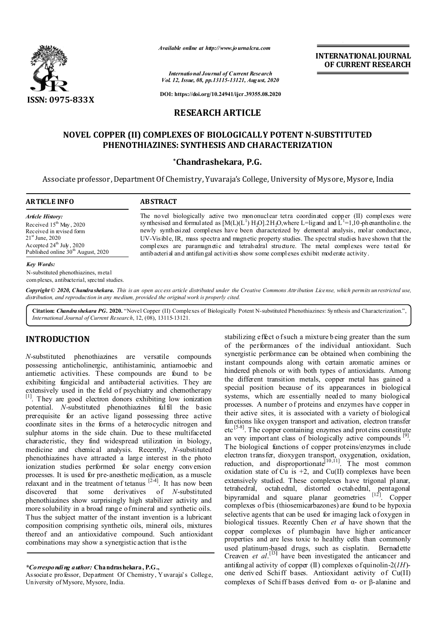

*Available online at http://www.journalcra.com*

**INTERNATIONAL JOURNAL OF CURRENT RESEARCH**

*International Journal of Current Research Vol. 12, Issue, 08, pp.13115-13121, August, 2020*

**DOI: https://doi.org/10.24941/ijcr.39355.08.2020**

# **RESEARCH ARTICLE**

# **NOVEL COPPER (II) COMPLEXES OF BIOLOGICALLY POTENT N-SUBSTITUTED PHENOTHIAZINES: SYNTHESIS AND CHARACTERIZATION**

### **\*Chandrashekara, P.G.**

Associate professor, Department Of Chemistry, Yuvaraja's College, University of Mysore, Mysore, India

| <b>ARTICLE INFO</b>                                                                                                                                                                                    | <b>ABSTRACT</b>                                                                                                                                                                                                                                                                                                                                                                                                                                                                                                                                                                                                     |
|--------------------------------------------------------------------------------------------------------------------------------------------------------------------------------------------------------|---------------------------------------------------------------------------------------------------------------------------------------------------------------------------------------------------------------------------------------------------------------------------------------------------------------------------------------------------------------------------------------------------------------------------------------------------------------------------------------------------------------------------------------------------------------------------------------------------------------------|
| <b>Article History:</b><br>Received $15th$ May, 2020<br>Received in revised form<br>$21^{\rm st}$ June, 2020<br>Accepted $24^{\text{th}}$ July, 2020<br>Published online 30 <sup>th</sup> August, 2020 | The novel biologically active two mononuclear tetra coordinated copper (II) complexes were<br>synthesised and formulated as $[M(L)(L^1) H_2O].2H_2O$ , where L=lig and and L <sup>1</sup> =1,10 ph enantholine. the<br>newly synthesized complexes have been characterized by elemental analysis, molar conductance,<br>UV-Visible, IR, mass spectra and magnetic property studies. The spectral studies have shown that the<br>complexes are paramagnetic and tetrahedral structure. The metal complexes were tested for<br>antibacterial and antifungal activities show some complexes exhibit moderate activity. |
| <b>Key Words:</b>                                                                                                                                                                                      |                                                                                                                                                                                                                                                                                                                                                                                                                                                                                                                                                                                                                     |

N-substituted phenothiazines, metal com plexes, antibacterial, spectral studies.

Copyright © 2020, Chandra shekara. This is an open access article distributed under the Creative Commons Attribution License, which permits unrestricted use, *distribution, and reproduction in any medium, provided the original work is properly cited.*

**Citation:** *Chandrashekara PG.* **2020.** "Novel Copper (II) Complexes of Biologically Potent N-substituted Phenothiazines: Synthesis and Characterization.", *International Journal of Current Research*, 12, (08), 13115-13121.

## **INTRODUCTION**

*N*-substituted phenothiazines are versatile compounds possessing anticholinergic, antihistaminic, antiamoebic and antiemetic activities. These compounds are found to be exhibiting fungicidal and antibacterial activities. They are extensively used in the field of psychiatry and chemotherapy [1]. They are good electron donors exhibiting low ionization potential. *N*-substituted phenothiazines fulfil the basic prerequisite for an active ligand possessing three active coordinate sites in the forms of a heterocyclic nitrogen and sulphur atoms in the side chain. Due to these multifaceted characteristic, they find widespread utilization in biology, medicine and chemical analysis. Recently, *N*-substituted phenothiazines have attracted a large interest in the photo ionization studies performed for solar energy conversion processes. It is used for pre-anesthetic medication, as a muscle relaxant and in the treatment of tetanus  $[24]$ . It has now been discovered that some derivatives of *N*-substituted phenothiazines show surprisingly high stabilizer activity and more solubility in a broad range of mineral and synthetic oils. Thus the subject matter of the instant invention is a lubricant composition comprising synthetic oils, mineral oils, mixtures thereof and an antioxidative compound. Such antioxidant combinations may show a synergistic action that is the

Associate professor, Department Of Chemistry, Yuvaraja's College, University of Mysore, Mysore, India.

stabilizing effect of such a mixture b eing greater than the sum of the performances of the individual antioxidant. Such synergistic performance can be obtained when combining the instant compounds along with certain aromatic amines or hindered phenols or with both types of antioxidants. Among the different transition metals, copper metal has gained a special position because of its appearances in biological systems, which are essentially needed to many biological processes. A number of proteins and enzymes have copper in their active sites, it is associated with a variety of biological functions like oxygen transport and activation, electron transfer etc [5-8]. The copper containing enzymes and prot eins constitute an very important class of biologically active compounds [9]. The biological functions of copper proteins/enzymes include electron transfer, dioxygen transport, oxygenation, oxidation, reduction, and disproportionate<sup>[10,11]</sup>. The most common oxidation state of Cu is  $+2$ , and Cu(II) complexes have been extensively studied. These complexes have trigonal planar, tetrahedral, octahedral, distorted octahedral, pentagonal bipyramidal and square planar geometries [12]. Copper complexes of bis (thiosemicarbazones) are found to be hypoxia selective agents that can be used for imaging lack of oxygen in biological tissues. Recently Chen *et al* have shown that the copper complexes of plumbagin have higher anticancer properties and are less toxic to healthy cells than commonly used platinum-based drugs, such as cisplatin. Bernadette Creaven *et al.*<sup>[13]</sup> have been investigated the anticancer and antifungal activity of copper (II) complexes of quinolin-2(*1H*) one derived Schiff bases. Antioxidant activity of Cu(II) complexes of Schiff bases derived from α- or β-alanine and

*<sup>\*</sup>Corresponding author:* **Chandrashekara, P.G.,**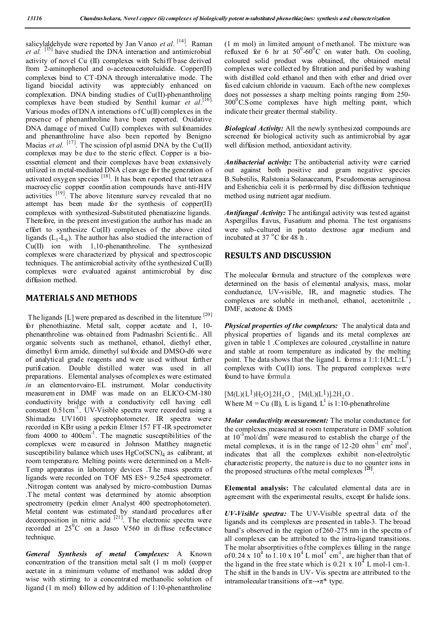salicylaldehyde were reported by Jan Vanco *et al*.<sup>[14]</sup>. Raman *et al.* [15] have studied the DNA interaction and antimicrobial activity of novel Cu (II) complexes with Schiff base derived from 2-aminophenol and o-aceteoacetotoluidide. Copper(II) complexes bind to CT-DNA through intercalative mode. The ligand biocidal activity was appreciably enhanced on complexation. DNA binding studies of Cu(II)-phenanthroline complexes have been studied by Senthil kumar *et al*. [16]. Various modes of DNA interactions of  $Cu(II)$  complexes in the presence of phenanthroline have been reported. Oxidative DNA damage of mixed Cu(II) complexes with sulfonamides and phenanthroline have also been reported by Benigno Macias *et al.* <sup>[17]</sup>. The scission of plasmid DNA by the Cu(II) complexes may be due to the steric effect. Copper is a bioessential element and their complexes have been extensively utilized in metal-mediated DNA cleavage for the generation of activated oxygen species [18]. It has been reported that tetraaza macrocyclic copper coordination compounds have anti-HIV activities  $\begin{bmatrix} 19 \end{bmatrix}$ . The above literature survey revealed that no attempt has been made for the synthesis of copper(II) complexes with synthesized-Substituted phenatiazine ligands. Therefore, in the present investigation the author has made an effort to synthesize Cu(II) complexes of the above cited ligands  $(L_1-L_6)$ . The author has also studied the interaction of Cu(II) ion with 1,10-phenanthroline. The synthesized complexes were characterized by physical and spectroscopic techniques. The antimicrobial activity of the synthesized  $Cu(II)$ complexes were evaluated against antimicrobial by disc diffusion method.

# **MATERIALS AND METHODS**

The ligands [L] were prepared as described in the literature [20] for phenothiazine. Metal salt, copper acetate and 1, 10 phenanthroline was obtained from Padmashri Scientific.. All organic solvents such as methanol, ethanol, diethyl ether, dimethyl form amide, dimethyl sul foxide and DMSO-d6 were of analytical grade reagents and were used without further purification. Double distilled water was used in all preparations. Elemental analyses of complexes were estimated *in* an elementorvairo-EL instrument. Molar conductivity measurement in DMF was made on an ELICO-CM-180 conductivity bridge with a conductivity cell having cell constant 0.51cm<sup>-1</sup>. UV-Visible spectra were recorded using a Shimadzu UV1601 spectrophotometer. IR spectra were recorded in KBr using a perkin Elmer 157 FT-IR spectrometer from  $4000$  to  $400 \text{cm}^{-1}$ . The magnetic susceptibilities of the complexes were measured in Johnson Matthey magnetic susceptibility balance which uses  $HgCo(SCN)<sub>4</sub>$  as calibrant, at room temperature. Melting points were determined on a Melt-Temp apparatus in laboratory devices .T he mass spectra of ligands were recorded on TOF MS ES+ 9.25e4 spectrometer. .Nitrogen content was analysed by micro-combustion Dumas .T he metal content was determined by atomic absorption spectrometry (perkin elmer Analyst 400 spectrophotometer). Metal content was estimated by standard procedures after decomposition in nitric acid  $[21]$ . The electronic spectra were recorded at  $25^{\circ}$ C on a Jasco V560 in diffuse reflectance technique.

*General Synthesis of metal Complexes:* A Known concentration of the transition metal salt (1 m mol) (copper acetate in a minimum volume of methanol was added drop wise with stirring to a concentrated methanolic solution of ligand (1 m mol) followed by addition of 1:10-phenanthroline

(1 m mol) in limited amount of methanol. The mixture was refluxed for 6 hr at  $50^0$ - $60^0$ C on water bath. On cooling, coloured solid product was obtained, the obtained metal complexes were collected by filtration and purified by washing with distilled cold ethanol and then with ether and dried over fused calcium chloride in vacuum. Each of the new complexes does not possesses a sharp melting points ranging from 250-  $300^0$ C.Some complexes have high melting point, which indicate their greater thermal stability.

*Biological Activity:* All the newly synthesized compounds are screened for biological activity such as antimicrobial by agar well diffusion method, antioxidant activity.

*Antibacterial activity:* The antibacterial activity were carried out against both positive and gram negative species B.Substilis, Ralstonia Solanacearum, Pseudomonas aeruginosa and Esherichia coli it is performed by disc diffusion technique method using nutrient agar medium.

*Antifungal Activity:* The antifungal activity was tested against Aspergillus flavus, Fusarium and phoma. The test organisms were sub-cultured in potato dextrose agar medium and incubated at  $37^{\circ}$ C for  $48^{\circ}$ h.

## **RESULTS AND DISCUSSION**

The molecular formula and structure of the complexes were determined on the basis of elemental analysis, mass, molar conductance, UV-visible, IR, and magnetic studies. The complexes are soluble in methanol, ethanol, acetonitrile , DMF, acetone & DMS

*Physical properties of the complexes:* The analytical data and physical properties of ligands and its metal complexes are given in table 1 .Complexes are coloured ,crystalline in nature and stable at room temperature as indicated by the melting point. The data shows that the ligand L forms a  $1:1:1(M:L:L^1)$ complexes with Cu(II) ions. The prepared complexes were found to have formula

 $[M(L)(L<sup>1</sup>)H<sub>2</sub>O].2H<sub>2</sub>O$ ,  $[M(L)(L<sup>1</sup>)].2H<sub>2</sub>O$ . Where  $M = Cu (II)$ , L is ligand, L<sup>1</sup> is 1:10-phenathroline

*Molar conductivity measurement:* The molar conductance for the complexes measured at room temperature in DMF solution at  $10^{-3}$  mol/dm<sup>3</sup> were measured to establish the charge of the metal complexes, it is in the range of 12-20 ohm<sup>-1</sup> cm<sup>2</sup> mol<sup>1</sup>, indicates that all the complexes exhibit non-electrolytic characteristic property, the nature is due to no counter ions in the proposed structures of the metal complexes **[21]**.

**Elemental analysis:** The calculated elemental data are in agreement with the experimental results, except for halide ions.

*UV-Visible spectra:* The UV-Visible spectral data of the ligands and its complexes are presented in table-3. The broad band's observed in the region of 260 -275 nm in the spectra o f all complexes can be attributed to the intra-ligand transitions. The molar absorptivities of the complexes falling in the range of 0.24 x  $10^4$  to 1.10 x  $10^4$  L mol<sup>1</sup> cm<sup>1</sup>, are higher than that of the ligand in the free state which is 0.21 x  $10<sup>4</sup>$  L mol-1 cm-1. The shift in the b ands in UV- Vis spectra are attributed to the intramolecular transitions of  $\pi \rightarrow \pi^*$  type.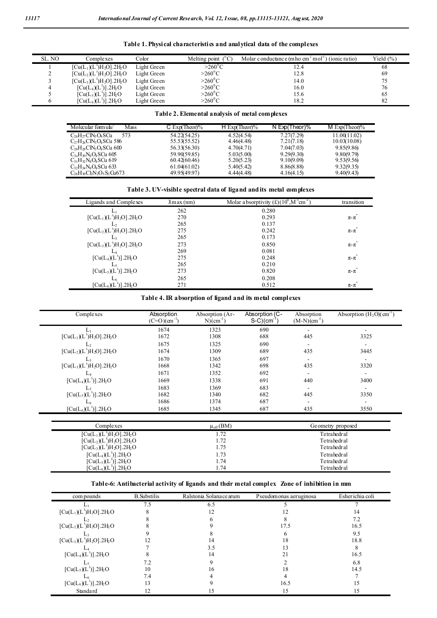| SL. NO | Complexes                                                                | Color       | Melting point $(^{\circ}C)$ | Molar c onductance (m ho cm <sup>2</sup> mol <sup>-1</sup> )<br>(ionic ratio) | Yield $(\% )$ |
|--------|--------------------------------------------------------------------------|-------------|-----------------------------|-------------------------------------------------------------------------------|---------------|
|        | $\left[ \text{Cu}(L_1)(L')\text{H}_2\text{O} \right]$ .2H <sub>2</sub> O | Light Green | $>260^{\circ}$ C            | 12.4                                                                          | 68            |
|        | $\left[ \text{Cu}(L_2)(L')\text{H}_2\text{O} \right]$ .2H <sub>2</sub> O | Light Green | $>260^{\circ}$ C            | 12.8                                                                          | 69            |
|        | $\left[ \text{Cu}(L_3)(L^1)H_2O \right]$ .2H <sub>2</sub> O              | Light Green | $>260^0C$                   | 14.0                                                                          | 75            |
|        | $\left[ \text{Cu}(L_4)(L') \right]$ .2H <sub>2</sub> O                   | Light Green | $>260^{\circ}$ C            | 16.0                                                                          | 76            |
|        | $[Cu(L5)(L1)]$ .2H <sub>2</sub> O                                        | Light Green | $>260^{\circ}$ C            | 15.6                                                                          | 65            |
|        | $[Cu(L6)(L1)]$ .2H <sub>2</sub> O                                        | Light Green | $>260^0C$                   | 18.2                                                                          | 82            |

**Table 1. Physical characteristics and analytical data of the complexes**

### **Table 2. Elemental analysis of metal complexes**

| Molecular formula/<br>Mass       | $C$ Exp(Theor)% | $H$ Exp(Theor)% | N $Exp(Theory)\%$ | M $Exp(Theor)$ % |
|----------------------------------|-----------------|-----------------|-------------------|------------------|
| $C_{26}H_{27}CN_3O_4SCu$<br>573  | 54.22(54.25)    | 4.52(4.54)      | 7.27(7.29)        | 11.00(11.02)     |
| $C_{27}H_{26}CN_3O_4SCu$ 586     | 55.53(55.52)    | 4.46(4.48)      | 7.21(7.18)        | 10.03(10.08)     |
| $C_{28}H_{28}CN_3O_4SCu_600$     | 56.33(56.30)    | 4.70(4.71)      | 7.04(7.03)        | 9.85(9.86)       |
| $C_{30}H_{30}N_4O_4SCu$ 605      | 59.90(59.85)    | 5.03(5.00)      | 9.29(9.30)        | 9.8009.79        |
| $C_{31}H_{32}N_4O_4SO_4619$      | 60.42(60.46)    | 5.20(5.23)      | 9.10(9.09)        | 9.53(9.56)       |
| $C_{32}H_{34}N_4O_4SCu$ 633      | 61.04(61.02)    | 5.40(5.42)      | 8.86(8.88)        | 9.32(9.35)       |
| $C_{26}H_{30}Cl_2N_2O_5S_2Cu673$ | 49.95(49.97)    | 4.44(4.48)      | 4.16(4.15)        | 9.40(9.43)       |

**Table 3. UV-visible spectral data of ligand and its metal complexes**

| Ligands and Complexes               | $\lambda$ max $(nm)$ | Molar absorptivity $(f)(10^4 \text{,} \text{M}^{-1} \text{cm}^{-1})$ | transition    |
|-------------------------------------|----------------------|----------------------------------------------------------------------|---------------|
| Ŀ١                                  | 262                  | 0.280                                                                |               |
| $[Cu(L1)(L1)H2O].2H2O$              | 270                  | 0.293                                                                | $\pi$ - $\pi$ |
|                                     | 265                  | 0.137                                                                |               |
| $[Cu(L2)(L1)H2O].2H2O$              | 275                  | 0.242                                                                | $\pi$ - $\pi$ |
|                                     | 265                  | 0.173                                                                |               |
| $[Cu(L3)(L1)H2O].2H2O$              | 273                  | 0.850                                                                | $\pi$ - $\pi$ |
|                                     | 269                  | 0.081                                                                |               |
| $[Cu(L4)(L1)].2H2O$                 | 275                  | 0.248                                                                | $\pi$ - $\pi$ |
|                                     | 265                  | 0.210                                                                |               |
| $[Cu(L5)(L1)].2H2O$                 | 273                  | 0.820                                                                | $\pi$ - $\pi$ |
|                                     | 265                  | 0.208                                                                |               |
| $[Cu(L_6)(L^1)]$ .2H <sub>2</sub> O | 271                  | 0.512                                                                | $\pi$ - $\pi$ |

### **Table 4.IR absorption of ligand and its metal complexes**

| Complexes                                                           | Absorption<br>$(C=O)(cm^{-1})$ | Absorption (Ar-<br>$N$ ) $(cm-1)$ | Absorption (C-<br>$S-C$ ) $\text{cm}^{-1}$ | Absorption<br>$(M-N)(cm^{-1})$ | Absorption $(H_2O)(cm^{-1})$ |
|---------------------------------------------------------------------|--------------------------------|-----------------------------------|--------------------------------------------|--------------------------------|------------------------------|
|                                                                     | 1674                           | 1323                              | 690                                        |                                |                              |
| $[Cu(L1)(L1)H2O].2H2O$                                              | 1672                           | 1308                              | 688                                        | 445                            | 3325                         |
|                                                                     | 1675                           | 1325                              | 690                                        |                                |                              |
| $[Cu(L2)(L1)H2O]$ .2H <sub>2</sub> O                                | 1674                           | 1309                              | 689                                        | 435                            | 3445                         |
| Lз                                                                  | 1670                           | 1365                              | 697                                        |                                |                              |
| $[Cu(L3)(L1)H2O]$ .2H <sub>2</sub> O                                | 1668                           | 1342                              | 698                                        | 435                            | 3320                         |
|                                                                     | 1671                           | 1352                              | 692                                        |                                |                              |
| $[Cu(L4)(L1)].2H2O$                                                 | 1669                           | 1338                              | 691                                        | 440                            | 3400                         |
|                                                                     | 1683                           | 1369                              | 683                                        |                                |                              |
| $[Cu(L5)(L1)].2H2O$                                                 | 1682                           | 1340                              | 682                                        | 445                            | 3350                         |
|                                                                     | 1686                           | 1374                              | 687                                        |                                |                              |
| $[Cu(L6)(L1)].2H2O$                                                 | 1685                           | 1345                              | 687                                        | 435                            | 3550                         |
|                                                                     |                                | $\mu_{\rm eff}(BM)$               |                                            |                                |                              |
| Complexes                                                           |                                |                                   |                                            |                                | Geometry proposed            |
| $\left[ \text{Cu}(L_1)(L^{\dagger})H_2O \right]$ .2H <sub>2</sub> O |                                | 1.72                              |                                            |                                | Tetrahedral                  |
| $[Cu(L2)(L1)H2O]$ .2H <sub>2</sub> O                                |                                | 1.72                              |                                            | Tetrahedral                    |                              |
| $[Cu(L3)(L1)H2O]$ .2H <sub>2</sub> O                                |                                | 1.75<br>Tetrahedral               |                                            |                                |                              |
| $[Cu(L4)(L1)].2H2O$                                                 |                                | 1.73                              | Tetrahedral                                |                                |                              |
| $[Cu(L5)(L1)]$ .2H <sub>2</sub> O                                   |                                | 1.74                              | Tetrahedral                                |                                |                              |
| $\left[\text{Cu}(L_6)(L^1)\right].2\text{H}_2\text{O}$              |                                | 1.74                              |                                            | Tetrahedral                    |                              |

### **Table-6: Antibacterial activity of ligands and their metal complex Zone of inhibition in mm**

| com pounds                           | <b>B.</b> Substilis | Ralstonia Solanace arum | Pseudomonas aeruginosa | Esherichia coli |
|--------------------------------------|---------------------|-------------------------|------------------------|-----------------|
|                                      | 7.5                 | 6.5                     |                        |                 |
| $[Cu(L1)(L1)H2O].2H2O$               |                     |                         |                        | 14              |
|                                      |                     |                         |                        | 7.2             |
| $[Cu(L2)(L1)H2O]$ .2H <sub>2</sub> O |                     |                         | 17.5                   | 16.5            |
|                                      |                     |                         |                        | 9.5             |
| $[Cu(L3)(L1)H2O].2H2O$               |                     | 14                      | 18                     | 18.8            |
|                                      |                     | 3.5                     |                        |                 |
| $[Cu(L4)(L1)].2H2O$                  |                     | 14                      | 21                     | 16.5            |
|                                      | 7.2                 |                         |                        | 6.8             |
| $[Cu(L5)(L1)].2H2O$                  | 10                  | 16                      | 18                     | 14.5            |
|                                      | 7.4                 |                         |                        |                 |
| $[Cu(L6)(L1)].2H2O$                  | 13                  |                         | 16.5                   | 15              |
| Standard                             | 12                  |                         | 15                     | 15              |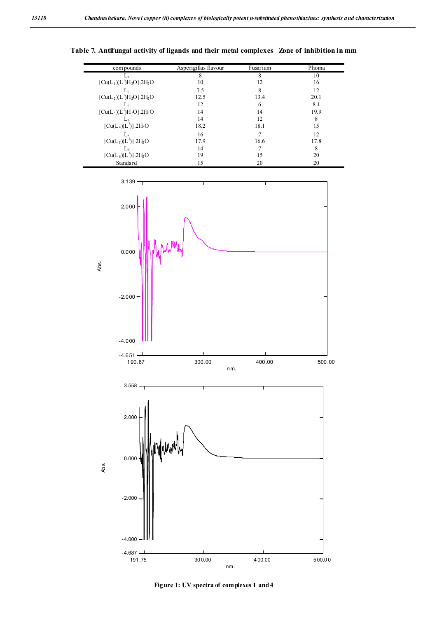| com pounds                           | Asperigillus flavour | Fusarium | Phoma |
|--------------------------------------|----------------------|----------|-------|
|                                      | 8                    | 8        | 10    |
| $[Cu(L1)(L1)H2O]$ .2H <sub>2</sub> O | 10                   | 12       | 16    |
|                                      | 7.5                  | 8        | 12    |
| $[Cu(L2)(L1)H2O]$ .2H <sub>2</sub> O | 12.5                 | 13.4     | 20.1  |
| L٩                                   | 12                   | 6        | 8.1   |
| $[Cu(L3)(L1)H2O].2H2O]$              | 14                   | 14       | 19.9  |
|                                      | 14                   | 12       | 8     |
| $[Cu(L4)(L1)].2H2O$                  | 18.2                 | 18.1     | 15    |
|                                      | 16                   |          | 12    |
| $[Cu(L5)(L1)].2H2O$                  | 17.9                 | 16.6     | 17.8  |
|                                      | 14                   |          |       |
| $[Cu(L6)(L1)].2H2O$                  | 19                   | 15       | 20    |
| Standard                             | 15                   | 20       | 20    |

**Table 7. Antifungal activity of ligands and their metal complexes Zone of inhibition in mm**



**Figure 1: UV spectra of complexes 1 and 4**

 $\blacksquare$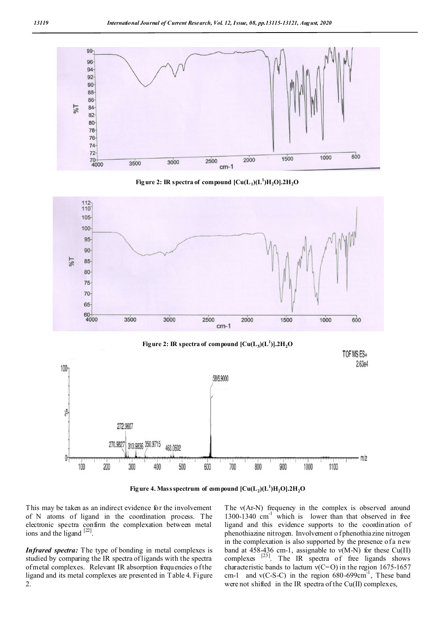

**Figure 2: IR spectra of compound**  $\left[\text{Cu}(\text{L}_1)(\text{L}^1)\text{H}_2\text{O}\right]$ **.2H<sub>2</sub>O** 







**Figure 4. Mass spectrum of compound**  $\mathcal{C}u(L_2)(L^1)H_2O$  $,2H_2O$ 

This may be taken as an indirect evidence for the involvement of N atoms of ligand in the coordination process. The electronic spectra confirm the complexation between metal ions and the ligand  $[22]$ .

*Infrared spectra:* The type of bonding in metal complexes is studied by comparing the IR spectra of ligands with the spectra of metal complexes. Relevant IR absorption frequencies of the ligand and its metal complexes are presented in Table 4. Figure 2.

The v(Ar-N) frequency in the complex is observed around  $1300-1340$  cm<sup>-1</sup> which is lower than that observed in free ligand and this evidence supports to the coordination of phenothiazine nitrogen. Involvement o f phenothiazine nitrogen in the complexation is also supported by the presence of a new band at 458-436 cm-1, assignable to  $v(M-N)$  for these Cu(II) complexes  $^{[23]}$ . The IR spectra of free ligands shows characteristic bands to lactum  $v(C=O)$  in the region 1675-1657 cm-1 and  $v(C-S-C)$  in the region  $680-699cm^{-1}$ , These band were not shifted in the IR spectra of the Cu(II) complexes,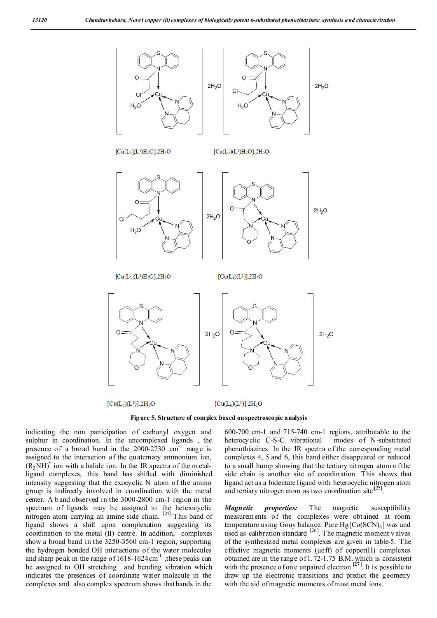

 $[Cu(L<sub>5</sub>)(L<sup>1</sup>)]$ .2H<sub>2</sub>O

 $[Cu(L<sub>6</sub>)(L<sup>1</sup>)]$ .2H<sub>2</sub>O

**Figure 5. Structure of complex based on spectroscopic analysis**

indicating the non participation of carbonyl oxygen and sulphur in coordination. In the uncomplexed ligands , the presence of a broad band in the  $2000-2730$  cm<sup>-1</sup> range is assigned to the interaction of the quaternary ammonium ion,  $(R_3NH)^+$  ion with a halide ion. In the IR spectra of the m etalligand complexes, this band has shifted with diminished intensity suggesting that the exocyclic N atom of the amino group is indirectly involved in coordination with the metal center. A b and observed in the 3000-2800 cm-1 region in the spectrum of ligands may be assigned to the heterocyclic nitrogen atom carrying an amine side chain. [24] This band of ligand shows a shift upon complexation suggesting its coordination to the metal (II) centre. In addition, complexes show a broad band in the 3250-3560 cm-1 region, supporting the hydrogen bonded OH interactions of the water molecules and sharp peak in the range of  $1618-1624$  cm<sup>-1</sup>, these peaks can be assigned to OH stretching and bending vibration which indicates the presences of coordinate water molecule in the complexes and also complex spectrum shows that bands in the

600-700 cm-1 and 715-740 cm-1 regions, attributable to the heterocyclic C-S-C vibrational modes of N-substituted phenothiazines. In the IR spectra of the corresponding metal complexes 4, 5 and 6, this band either disappeared or reduced to a small hump showing that the tertiary nitrogen atom of the side chain is another site of coordination. This shows that ligand act as a bidentate ligand with heterocyclic nitrogen atom and tertiary nitrogen atom as two coordination site.<sup>[2</sup>]

*Magnetic properties:* The magnetic susceptibility measurements of the complexes were obtained at room temperature using Gouy balance. Pure  $Hg[Co(SCN)<sub>4</sub>]$  was and used as calibration standard  $[26]$ . The magnetic moment v alves of the synthesized metal complexes are given in table-5. The effective magnetic moments (μeff) of copper(II) complexes obtained are in the range of 1.72-1.75 B.M. which is consistent with the presence o f on e unpaired electron  $\begin{bmatrix} 27 \end{bmatrix}$ . It is possible to draw up the electronic transitions and predict the geometry with the aid of magnetic moments of most metal ions.